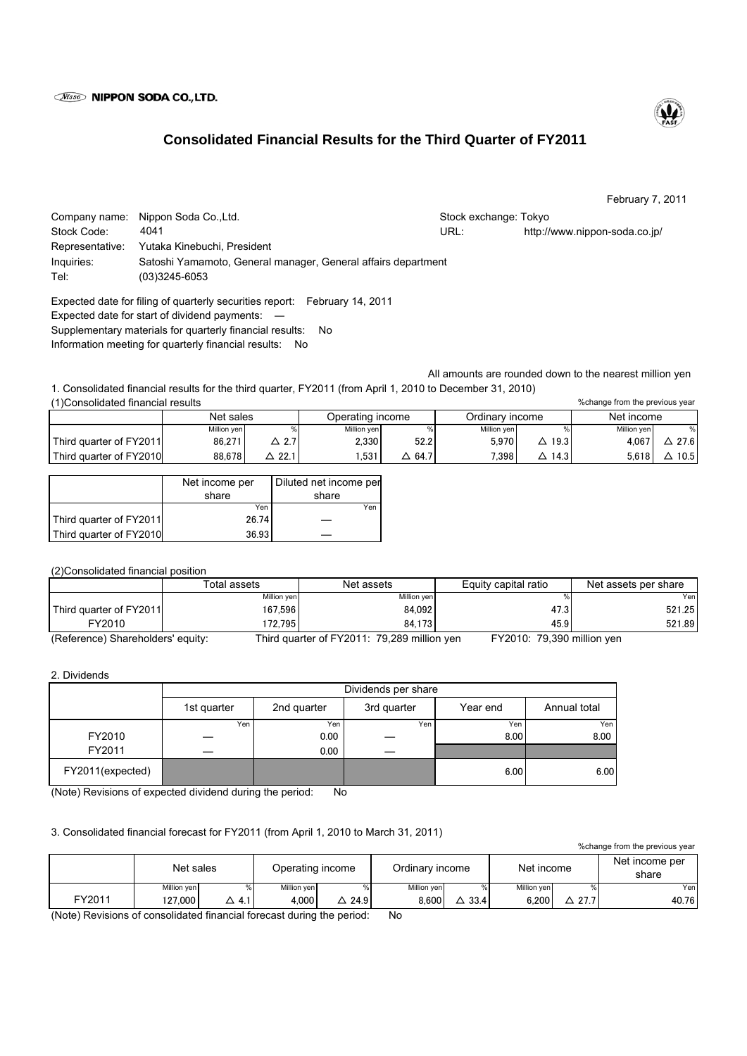### **Wisso NIPPON SODA CO., LTD.**

# **Consolidated Financial Results for the Third Quarter of FY2011**

February 7, 2011

Company name: Nippon Soda Co.,Ltd. Stock exchange: Tokyo Stock exchange: Tokyo Stock Code: URL: http://www.nippon-soda.co.jp/ Representative: Yutaka Kinebuchi, President Inquiries: Satoshi Yamamoto, General manager, General affairs department Tel: (03)3245-6053 4041

Expected date for filing of quarterly securities report: February 14, 2011 Expected date for start of dividend payments: ― Supplementary materials for quarterly financial results: No Information meeting for quarterly financial results: No

All amounts are rounded down to the nearest million yen

1. Consolidated financial results for the third quarter, FY2011 (from April 1, 2010 to December 31, 2010) (1)Consolidated financial results

|                         | Net sales   |      | Operating income |                               | Ordinarv income |      | Net income  |      |
|-------------------------|-------------|------|------------------|-------------------------------|-----------------|------|-------------|------|
|                         | Million yen |      | Million yen      |                               | Million yen     |      | Million ven |      |
| Third quarter of FY2011 | 86.271      | ົດ 7 | 2.330            | 52.2                          | 5.970           | 19.3 | 4.067       | 27.6 |
| Third quarter of FY2010 | 88.678      | 22.  | .531             | $\overline{\phantom{0}}$ 64.7 | 7.398.          | 14.3 | 5,618       | 10.5 |

|                         | Net income per | Diluted net income per |
|-------------------------|----------------|------------------------|
|                         | share          | share                  |
|                         | Yen            | Yen                    |
| Third quarter of FY2011 | 26.74          |                        |
| Third quarter of FY2010 | 36.93          |                        |

(2)Consolidated financial position

|                                   | Total assets | Net assets                                  | Equity capital ratio       | Net assets per share |
|-----------------------------------|--------------|---------------------------------------------|----------------------------|----------------------|
|                                   | Million yen  | Million yen                                 |                            | Yenl                 |
| Third quarter of FY2011           | 167.596      | 84.092                                      | 47.3                       | 521.25               |
| FY2010                            | 172.795      | 84.173                                      | 45.9                       | 521.89               |
| (Reference) Shareholders' equity: |              | Third quarter of FY2011: 79,289 million yen | FY2010: 79,390 million yen |                      |

#### 2. Dividends

|                  | Dividends per share |             |             |          |              |  |  |  |
|------------------|---------------------|-------------|-------------|----------|--------------|--|--|--|
|                  | 1st quarter         | 2nd quarter | 3rd quarter | Year end | Annual total |  |  |  |
|                  | Yen                 | Yen         | Yen         | Yen      | Yen I        |  |  |  |
| FY2010           |                     | 0.00        |             | 8.00     | 8.00         |  |  |  |
| FY2011           |                     | 0.00        |             |          |              |  |  |  |
| FY2011(expected) |                     |             |             | 6.00     | 6.00         |  |  |  |

(Note) Revisions of expected dividend during the period: No

# 3. Consolidated financial forecast for FY2011 (from April 1, 2010 to March 31, 2011)

%change from the previous year

|        | Net sales   |      | Operating income |      | Ordinary income |      | Net income  |             | Net income per<br>share |
|--------|-------------|------|------------------|------|-----------------|------|-------------|-------------|-------------------------|
|        | Million yen |      | Million yen      | %    | Million yen     | %    | Million yen |             | Yen                     |
| FY2011 | 127.000     | -4.1 | 4.000            | 24.9 | 8.600           | 33.4 | 6.200       | $\sim$ 27.7 | 40.76                   |

(Note) Revisions of consolidated financial forecast during the period: No



%change from the previous year